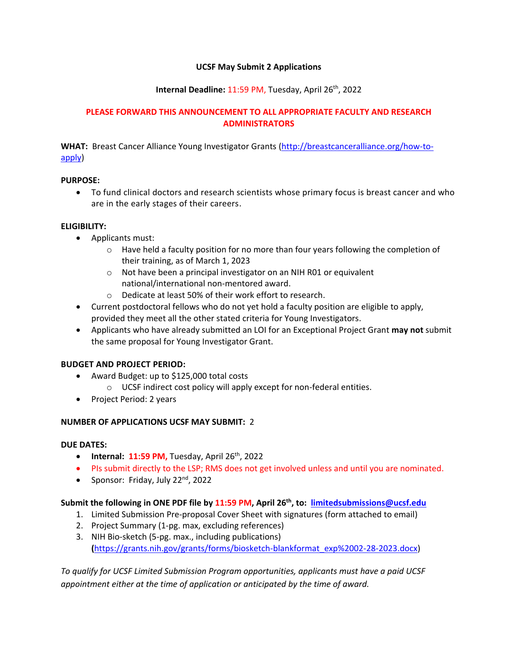## **UCSF May Submit 2 Applications**

## **Internal Deadline:** 11:59 PM, Tuesday, April 26th, 2022

### **PLEASE FORWARD THIS ANNOUNCEMENT TO ALL APPROPRIATE FACULTY AND RESEARCH ADMINISTRATORS**

**WHAT:** Breast Cancer Alliance Young Investigator Grants [\(http://breastcanceralliance.org/how-to](http://breastcanceralliance.org/how-to-apply)[apply\)](http://breastcanceralliance.org/how-to-apply)

### **PURPOSE:**

 To fund clinical doctors and research scientists whose primary focus is breast cancer and who are in the early stages of their careers.

# **ELIGIBILITY:**

- Applicants must:
	- $\circ$  Have held a faculty position for no more than four years following the completion of their training, as of March 1, 2023
	- o Not have been a principal investigator on an NIH R01 or equivalent national/international non-mentored award.
	- o Dedicate at least 50% of their work effort to research.
- Current postdoctoral fellows who do not yet hold a faculty position are eligible to apply, provided they meet all the other stated criteria for Young Investigators.
- Applicants who have already submitted an LOI for an Exceptional Project Grant **may not** submit the same proposal for Young Investigator Grant.

### **BUDGET AND PROJECT PERIOD:**

- Award Budget: up to \$125,000 total costs
	- o UCSF indirect cost policy will apply except for non-federal entities.
- Project Period: 2 years

### **NUMBER OF APPLICATIONS UCSF MAY SUBMIT:** 2

### **DUE DATES:**

- **•** Internal:  $11:59$  PM, Tuesday, April  $26<sup>th</sup>$ , 2022
- PIs submit directly to the LSP; RMS does not get involved unless and until you are nominated.
- Sponsor: Friday, July  $22<sup>nd</sup>$ , 2022

## **Submit the following in ONE PDF file by 11:59 PM, April 26th , to: [limitedsubmissions@ucsf.edu](mailto:limitedsubmissions@ucsf.edu)**

- 1. Limited Submission Pre-proposal Cover Sheet with signatures (form attached to email)
- 2. Project Summary (1-pg. max, excluding references)
- 3. NIH Bio-sketch (5-pg. max., including publications) **(**[https://grants.nih.gov/grants/forms/biosketch-blankformat\\_exp%2002-28-2023.docx\)](https://grants.nih.gov/grants/forms/biosketch-blankformat_exp%2002-28-2023.docx)

*To qualify for UCSF Limited Submission Program opportunities, applicants must have a paid UCSF appointment either at the time of application or anticipated by the time of award.*